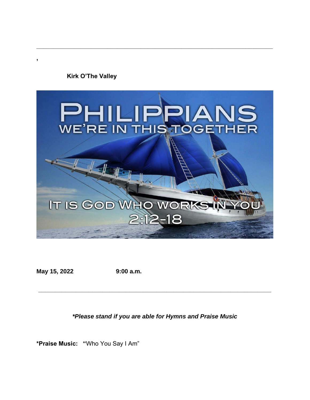

**\_\_\_\_\_\_\_\_\_\_\_\_\_\_\_\_\_\_\_\_\_\_\_\_\_\_\_\_\_\_\_\_\_\_\_\_\_\_\_\_\_\_\_\_\_\_\_\_\_\_\_\_\_\_\_\_\_\_\_\_\_\_\_\_\_\_\_\_\_\_**

**May 15, 2022 9:00 a.m.** 

**,** 

*\*Please stand if you are able for Hymns and Praise Music*

**\_\_\_\_\_\_\_\_\_\_\_\_\_\_\_\_\_\_\_\_\_\_\_\_\_\_\_\_\_\_\_\_\_\_\_\_\_\_\_\_\_\_\_\_\_\_\_\_\_\_\_\_\_\_\_\_\_\_\_\_\_\_\_\_\_\_\_\_\_** 

**\*Praise Music: "**Who You Say I Am"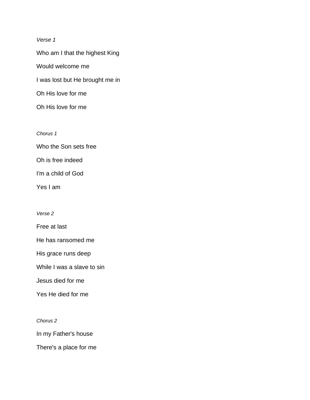## *Verse 1*

Who am I that the highest King Would welcome me I was lost but He brought me in Oh His love for me Oh His love for me

*Chorus 1*

Who the Son sets free

Oh is free indeed

I'm a child of God

Yes I am

*Verse 2*

Free at last

He has ransomed me

His grace runs deep

While I was a slave to sin

Jesus died for me

Yes He died for me

*Chorus 2*

In my Father's house

There's a place for me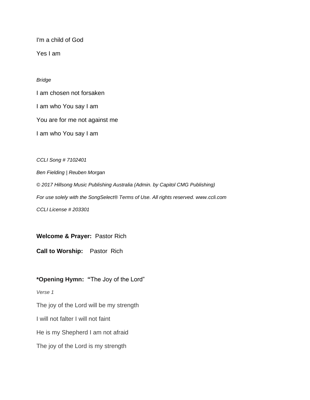I'm a child of God

Yes I am

### *Bridge*

I am chosen not forsaken

I am who You say I am

You are for me not against me

I am who You say I am

*CCLI Song # 7102401 Ben Fielding | Reuben Morgan © 2017 Hillsong Music Publishing Australia (Admin. by Capitol CMG Publishing) For use solely with the SongSelect® Terms of Use. All rights reserved. www.ccli.com CCLI License # 203301*

**Welcome & Prayer:** Pastor Rich

**Call to Worship:** Pastor Rich

**\*Opening Hymn: "**The Joy of the Lord"

## *Verse 1*

The joy of the Lord will be my strength

I will not falter I will not faint

He is my Shepherd I am not afraid

The joy of the Lord is my strength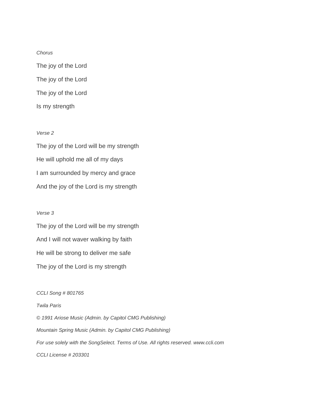#### *Chorus*

The joy of the Lord The joy of the Lord The joy of the Lord Is my strength

### *Verse 2*

The joy of the Lord will be my strength He will uphold me all of my days I am surrounded by mercy and grace And the joy of the Lord is my strength

#### *Verse 3*

The joy of the Lord will be my strength And I will not waver walking by faith He will be strong to deliver me safe The joy of the Lord is my strength

#### *CCLI Song # 801765*

#### *Twila Paris*

*© 1991 Ariose Music (Admin. by Capitol CMG Publishing) Mountain Spring Music (Admin. by Capitol CMG Publishing) For use solely with the SongSelect. Terms of Use. All rights reserved. www.ccli.com CCLI License # 203301*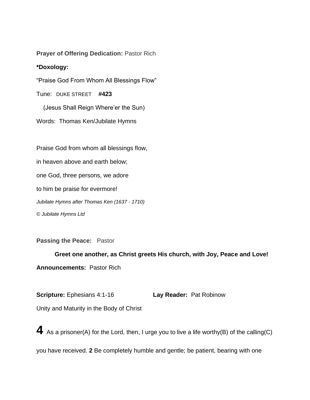**Prayer of Offering Dedication: Pastor Rich \*Doxology:** "Praise God From Whom All Blessings Flow" Tune: DUKE STREET **#423** (Jesus Shall Reign Where'er the Sun) Words: Thomas Ken/Jubilate Hymns

Praise God from whom all blessings flow, in heaven above and earth below; one God, three persons, we adore to him be praise for evermore! *Jubilate Hymns after Thomas Ken (1637 - 1710) © Jubilate Hymns Ltd*

**Passing the Peace:** Pastor

**Greet one another, as Christ greets His church, with Joy, Peace and Love! Announcements:** Pastor Rich

**Scripture:** Ephesians 4:1-16 **Lay Reader:** Pat Robinow Unity and Maturity in the Body of Christ

**4** As a prisoner(A) for the Lord, then, I urge you to live a life worthy(B) of the calling(C) you have received. **2** Be completely humble and gentle; be patient, bearing with one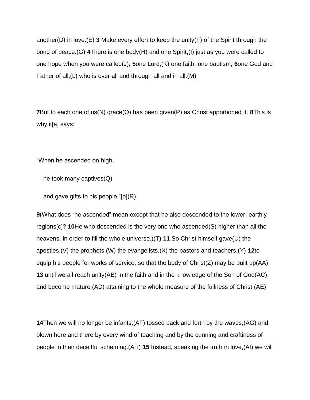another(D) in love.(E) **3** Make every effort to keep the unity(F) of the Spirit through the bond of peace.(G) **4**There is one body(H) and one Spirit,(I) just as you were called to one hope when you were called(J); **5**one Lord,(K) one faith, one baptism; **6**one God and Father of all,(L) who is over all and through all and in all.(M)

**7**But to each one of us(N) grace(O) has been given(P) as Christ apportioned it. **8**This is why it[a] says:

"When he ascended on high,

he took many captives(Q)

and gave gifts to his people."[b](R)

**9**(What does "he ascended" mean except that he also descended to the lower, earthly regions[c]? **10**He who descended is the very one who ascended(S) higher than all the heavens, in order to fill the whole universe.)(T) **11** So Christ himself gave(U) the apostles,(V) the prophets,(W) the evangelists,(X) the pastors and teachers,(Y) **12**to equip his people for works of service, so that the body of Christ(Z) may be built up(AA) **13** until we all reach unity(AB) in the faith and in the knowledge of the Son of God(AC) and become mature,(AD) attaining to the whole measure of the fullness of Christ.(AE)

**14**Then we will no longer be infants,(AF) tossed back and forth by the waves,(AG) and blown here and there by every wind of teaching and by the cunning and craftiness of people in their deceitful scheming.(AH) **15** Instead, speaking the truth in love,(AI) we will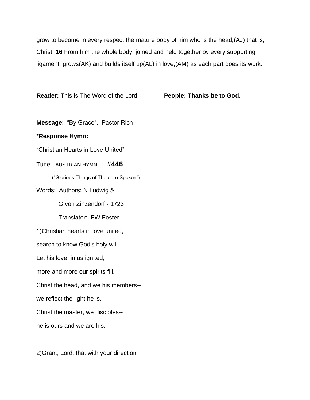grow to become in every respect the mature body of him who is the head,(AJ) that is, Christ. **16** From him the whole body, joined and held together by every supporting ligament, grows(AK) and builds itself up(AL) in love,(AM) as each part does its work.

**Reader:** This is The Word of the Lord **People: Thanks be to God.** 

**Message**: "By Grace". Pastor Rich

# **\*Response Hymn:**

"Christian Hearts in Love United"

# Tune: AUSTRIAN HYMN **#446**

("Glorious Things of Thee are Spoken")

Words: Authors: N Ludwig &

G von Zinzendorf - 1723

Translator: FW Foster

1)Christian hearts in love united,

search to know God's holy will.

Let his love, in us ignited,

more and more our spirits fill.

Christ the head, and we his members--

we reflect the light he is.

Christ the master, we disciples--

he is ours and we are his.

2)Grant, Lord, that with your direction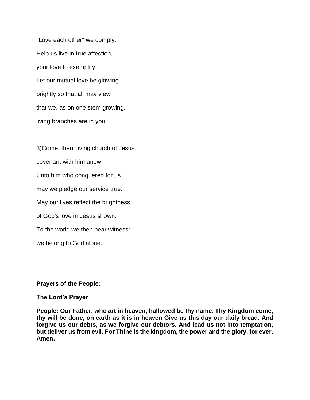"Love each other" we comply. Help us live in true affection, your love to exemplify. Let our mutual love be glowing brightly so that all may view that we, as on one stem growing, living branches are in you.

3)Come, then, living church of Jesus,

covenant with him anew.

Unto him who conquered for us

may we pledge our service true.

May our lives reflect the brightness

of God's love in Jesus shown.

To the world we then bear witness:

we belong to God alone.

**Prayers of the People:**

## **The Lord's Prayer**

**People: Our Father, who art in heaven, hallowed be thy name. Thy Kingdom come, thy will be done, on earth as it is in heaven Give us this day our daily bread. And forgive us our debts, as we forgive our debtors. And lead us not into temptation, but deliver us from evil. For Thine is the kingdom, the power and the glory, for ever. Amen.**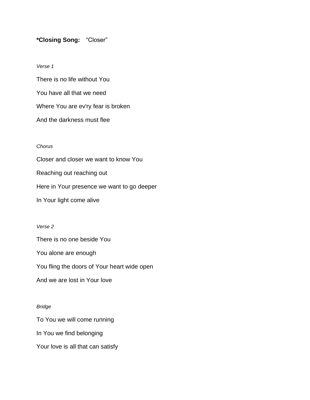**\*Closing Song:** "Closer"

## *Verse 1*

There is no life without You You have all that we need Where You are ev'ry fear is broken And the darkness must flee

#### *Chorus*

Closer and closer we want to know You Reaching out reaching out Here in Your presence we want to go deeper In Your light come alive

## *Verse 2*

There is no one beside You

You alone are enough

You fling the doors of Your heart wide open

And we are lost in Your love

#### *Bridge*

To You we will come running

In You we find belonging

Your love is all that can satisfy